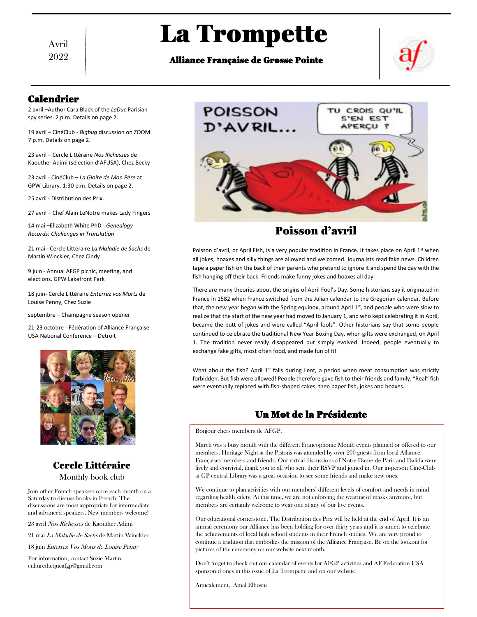Avril 2022

# La Trompette

## Alliance Française de Grosse Pointe



## Calendrier

2 avril –Author Cara Black of the *LeDuc* Parisian spy series. 2 p.m. Details on page 2.

19 avril – CinéClub - *Bigbug* discussion on ZOOM. 7 p.m. Details on page 2.

23 avril – Cercle Littéraire *Nos Richesses* de Kaouther Adimi (sélection d'AFUSA), Chez Becky

GPW Library. 1:30 p.m. Details on page 2.

25 avril - Distribution des Prix.

27 avril – Chef Alain LeNotre makes Lady Fingers

14 mai –Elizabeth White PhD - *Genealogy Records: Challenges in Translation* ecords: Challenges in Translation **and the context of the Context of Alberta Context of Alberta Context of Alberta Context of Alberta Context of Alberta Context of Alberta Context of Alberta Context of Alberta Context of A** 

21 mai - Cercle Littéraire *La Maladie de Sachs* de Martin Winckler, Chez Cindy

9 juin - Annual AFGP picnic, meeting, and elections. GPW Lakefront Park

18 juin- Cercle Littéraire *Enterrez vos Morts* de Louise Penny, Chez Suzie

septembre – Champagne season opener

21-23 octobre - Fédération of Alliance Française USA National Conference – Detroit



## Cercle Littéraire Monthly book club

Join other French speakers once each month on a Saturday to discuss books in French. The discussions are most appropriate for intermediate and advanced speakers. New members welcome!

23 avril Nos Richesses de Kaouther Adimi

21 mai La Maladie de Sachs de Martin Winckler

18 juin Enterrez Vos Morts de Louise Penny

For information, contact Suzie Martin: culturethequeafgp@gmail.com



# Poisson d'avril

Poisson d'avril, or April Fish, is a very popular tradition in France. It takes place on April 1st when all jokes, hoaxes and silly things are allowed and welcomed. Journalists read fake news. Children and welcomed.<br>All jokes, hoaxes and silly things are allowed and welcomed. Journalists read fake news. Children and were and tape a paper fish on the back of their parents who pretend to ignore it and spend the day with the fish hanging off their back. Friends make funny jokes and hoaxes all day.

> There are many theories about the origins of April Fool's Day. Some historians say it originated in France in 1582 when France switched from the Julian calendar to the Gregorian calendar. Before that, the new year began with the Spring equinox, around April 1st, and people who were slow to realize that the start of the new year had moved to January 1, and who kept celebrating it in April, became the butt of jokes and were called "April fools". Other historians say that some people continued to celebrate the traditional New Year Boxing Day, when gifts were exchanged, on April 1. The tradition never really disappeared but simply evolved. Indeed, people eventually to exchange fake gifts, most often food, and made fun of it!

> What about the fish? April  $1^{st}$  falls during Lent, a period when meat consumption was strictly forbidden. But fish were allowed! People therefore gave fish to their friends and family. "Real" fish were eventually replaced with fish-shaped cakes, then paper fish, jokes and hoaxes.

## Un Mot de la Présidente

Bonjour chers members de AFGP,

March was a busy month with the different Francophonie Month events planned or offered to our members. Heritage Night at the Pistons was attended by over 200 guests from local Alliance Françaises members and friends. Our virtual discussions of Notre Dame de Paris and Dalida were lively and convivial, thank you to all who sent their RSVP and joined in. Our in-person Ciné-Club at GP central Library was a great occasion to see some friends and make new ones.

We continue to plan activities with our members' different levels of comfort and needs in mind regarding health safety. At this time, we are not enforcing the wearing of masks anymore, but members are certainly welcome to wear one at any of our live events.

Our educational cornerstone, The Distribution des Prix will be held at the end of April. It is an annual ceremony our Alliance has been holding for over thirty years and it is aimed to celebrate the achievements of local high school students in their French studies. We are very proud to continue a tradition that embodies the mission of the Alliance Française. Be on the lookout for pictures of the ceremony on our website next month.

Don't forget to check out our calendar of events for AFGP activities and AF Federation USA sponsored ones in this issue of La Trompette and on our website.

Amicalement, Amal Elhosni